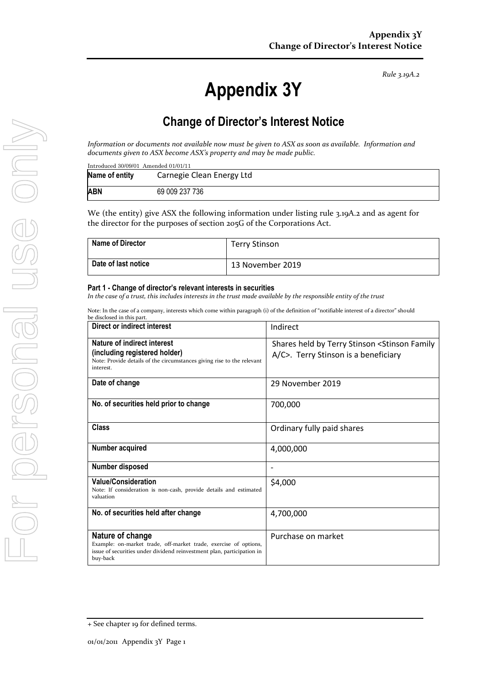*Rule 3.19A.2*

# **Appendix 3Y**

# **Change of Director's Interest Notice**

*Information or documents not available now must be given to ASX as soon as available. Information and documents given to ASX become ASX's property and may be made public.*

| Introduced 30/09/01 Amended 01/01/11 |                           |  |  |  |
|--------------------------------------|---------------------------|--|--|--|
| Name of entity                       | Carnegie Clean Energy Ltd |  |  |  |
| <b>ABN</b>                           | 69 009 237 736            |  |  |  |

We (the entity) give ASX the following information under listing rule 3.19A.2 and as agent for the director for the purposes of section 205G of the Corporations Act.

| <b>Name of Director</b> | Terry Stinson    |
|-------------------------|------------------|
| Date of last notice     | 13 November 2019 |

#### **Part 1 - Change of director's relevant interests in securities**

*In the case of a trust, this includes interests in the trust made available by the responsible entity of the trust*

Note: In the case of a company, interests which come within paragraph (i) of the definition of "notifiable interest of a director" should be disclosed in this part.

| Direct or indirect interest                                                                                                                                                | Indirect                                                                              |  |
|----------------------------------------------------------------------------------------------------------------------------------------------------------------------------|---------------------------------------------------------------------------------------|--|
| Nature of indirect interest<br>(including registered holder)<br>Note: Provide details of the circumstances giving rise to the relevant<br>interest.                        | Shares held by Terry Stinson < Stinson Family<br>A/C>. Terry Stinson is a beneficiary |  |
| Date of change                                                                                                                                                             | 29 November 2019                                                                      |  |
| No. of securities held prior to change                                                                                                                                     | 700,000                                                                               |  |
| <b>Class</b>                                                                                                                                                               | Ordinary fully paid shares                                                            |  |
| Number acquired                                                                                                                                                            | 4,000,000                                                                             |  |
| Number disposed                                                                                                                                                            |                                                                                       |  |
| <b>Value/Consideration</b><br>Note: If consideration is non-cash, provide details and estimated<br>valuation                                                               | \$4,000                                                                               |  |
| No. of securities held after change                                                                                                                                        | 4,700,000                                                                             |  |
| Nature of change<br>Example: on-market trade, off-market trade, exercise of options,<br>issue of securities under dividend reinvestment plan, participation in<br>buy-back | Purchase on market                                                                    |  |

For personal use only POTPETSONGUSE ONN

<sup>+</sup> See chapter 19 for defined terms.